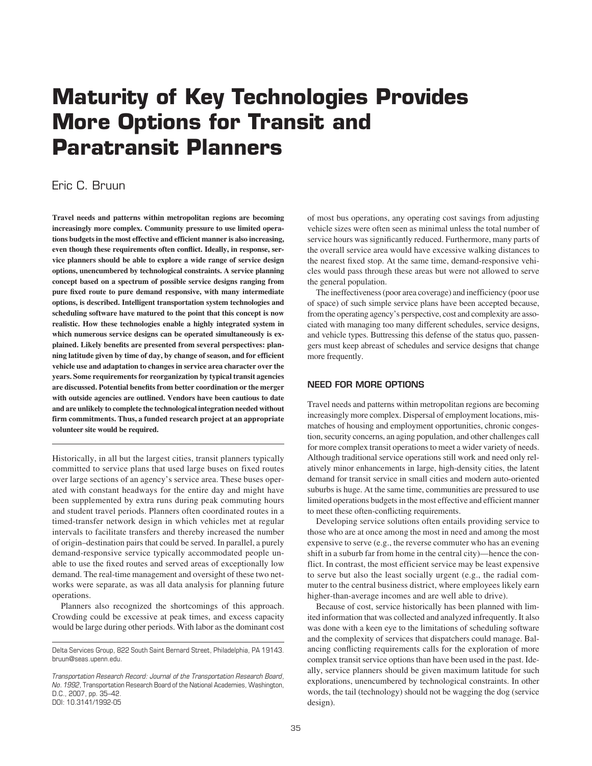# **Maturity of Key Technologies Provides More Options for Transit and Paratransit Planners**

# Eric C. Bruun

**Travel needs and patterns within metropolitan regions are becoming increasingly more complex. Community pressure to use limited operations budgets in the most effective and efficient manner is also increasing, even though these requirements often conflict. Ideally, in response, service planners should be able to explore a wide range of service design options, unencumbered by technological constraints. A service planning concept based on a spectrum of possible service designs ranging from pure fixed route to pure demand responsive, with many intermediate options, is described. Intelligent transportation system technologies and scheduling software have matured to the point that this concept is now realistic. How these technologies enable a highly integrated system in which numerous service designs can be operated simultaneously is explained. Likely benefits are presented from several perspectives: planning latitude given by time of day, by change of season, and for efficient vehicle use and adaptation to changes in service area character over the years. Some requirements for reorganization by typical transit agencies are discussed. Potential benefits from better coordination or the merger with outside agencies are outlined. Vendors have been cautious to date and are unlikely to complete the technological integration needed without firm commitments. Thus, a funded research project at an appropriate volunteer site would be required.**

Historically, in all but the largest cities, transit planners typically committed to service plans that used large buses on fixed routes over large sections of an agency's service area. These buses operated with constant headways for the entire day and might have been supplemented by extra runs during peak commuting hours and student travel periods. Planners often coordinated routes in a timed-transfer network design in which vehicles met at regular intervals to facilitate transfers and thereby increased the number of origin–destination pairs that could be served. In parallel, a purely demand-responsive service typically accommodated people unable to use the fixed routes and served areas of exceptionally low demand. The real-time management and oversight of these two networks were separate, as was all data analysis for planning future operations.

Planners also recognized the shortcomings of this approach. Crowding could be excessive at peak times, and excess capacity would be large during other periods. With labor as the dominant cost

of most bus operations, any operating cost savings from adjusting vehicle sizes were often seen as minimal unless the total number of service hours was significantly reduced. Furthermore, many parts of the overall service area would have excessive walking distances to the nearest fixed stop. At the same time, demand-responsive vehicles would pass through these areas but were not allowed to serve the general population.

The ineffectiveness (poor area coverage) and inefficiency (poor use of space) of such simple service plans have been accepted because, from the operating agency's perspective, cost and complexity are associated with managing too many different schedules, service designs, and vehicle types. Buttressing this defense of the status quo, passengers must keep abreast of schedules and service designs that change more frequently.

# **NEED FOR MORE OPTIONS**

Travel needs and patterns within metropolitan regions are becoming increasingly more complex. Dispersal of employment locations, mismatches of housing and employment opportunities, chronic congestion, security concerns, an aging population, and other challenges call for more complex transit operations to meet a wider variety of needs. Although traditional service operations still work and need only relatively minor enhancements in large, high-density cities, the latent demand for transit service in small cities and modern auto-oriented suburbs is huge. At the same time, communities are pressured to use limited operations budgets in the most effective and efficient manner to meet these often-conflicting requirements.

Developing service solutions often entails providing service to those who are at once among the most in need and among the most expensive to serve (e.g., the reverse commuter who has an evening shift in a suburb far from home in the central city)—hence the conflict. In contrast, the most efficient service may be least expensive to serve but also the least socially urgent (e.g., the radial commuter to the central business district, where employees likely earn higher-than-average incomes and are well able to drive).

Because of cost, service historically has been planned with limited information that was collected and analyzed infrequently. It also was done with a keen eye to the limitations of scheduling software and the complexity of services that dispatchers could manage. Balancing conflicting requirements calls for the exploration of more complex transit service options than have been used in the past. Ideally, service planners should be given maximum latitude for such explorations, unencumbered by technological constraints. In other words, the tail (technology) should not be wagging the dog (service design).

Delta Services Group, 822 South Saint Bernard Street, Philadelphia, PA 19143. bruun@seas.upenn.edu.

*Transportation Research Record: Journal of the Transportation Research Board, No. 1992,* Transportation Research Board of the National Academies, Washington, D.C., 2007, pp. 35–42. DOI: 10.3141/1992-05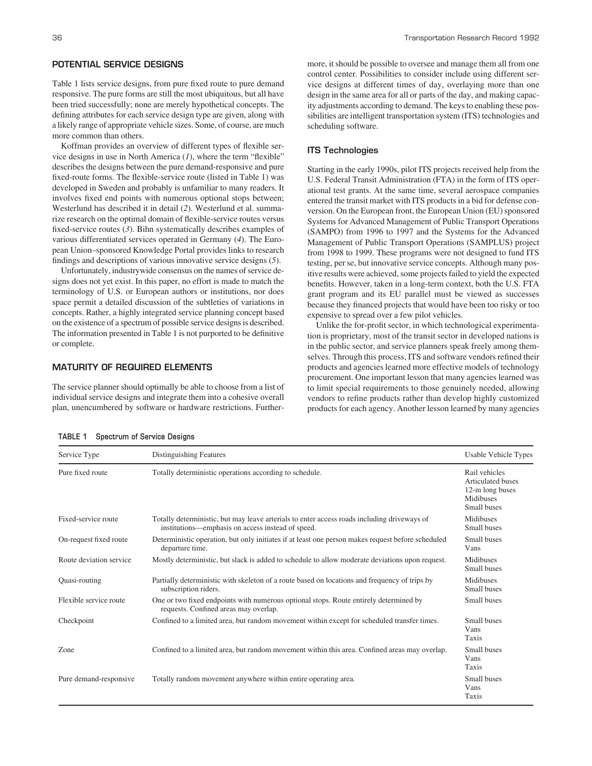## **POTENTIAL SERVICE DESIGNS**

Table 1 lists service designs, from pure fixed route to pure demand responsive. The pure forms are still the most ubiquitous, but all have been tried successfully; none are merely hypothetical concepts. The defining attributes for each service design type are given, along with a likely range of appropriate vehicle sizes. Some, of course, are much more common than others.

Koffman provides an overview of different types of flexible service designs in use in North America (*1*), where the term "flexible" describes the designs between the pure demand-responsive and pure fixed-route forms. The flexible-service route (listed in Table 1) was developed in Sweden and probably is unfamiliar to many readers. It involves fixed end points with numerous optional stops between; Westerlund has described it in detail (*2*). Westerlund et al. summarize research on the optimal domain of flexible-service routes versus fixed-service routes (*3*). Bihn systematically describes examples of various differentiated services operated in Germany (*4*). The European Union–sponsored Knowledge Portal provides links to research findings and descriptions of various innovative service designs (*5*).

Unfortunately, industrywide consensus on the names of service designs does not yet exist. In this paper, no effort is made to match the terminology of U.S. or European authors or institutions, nor does space permit a detailed discussion of the subtleties of variations in concepts. Rather, a highly integrated service planning concept based on the existence of a spectrum of possible service designs is described. The information presented in Table 1 is not purported to be definitive or complete.

## **MATURITY OF REQUIRED ELEMENTS**

The service planner should optimally be able to choose from a list of individual service designs and integrate them into a cohesive overall plan, unencumbered by software or hardware restrictions. Furthermore, it should be possible to oversee and manage them all from one control center. Possibilities to consider include using different service designs at different times of day, overlaying more than one design in the same area for all or parts of the day, and making capacity adjustments according to demand. The keys to enabling these possibilities are intelligent transportation system (ITS) technologies and scheduling software.

#### **ITS Technologies**

Starting in the early 1990s, pilot ITS projects received help from the U.S. Federal Transit Administration (FTA) in the form of ITS operational test grants. At the same time, several aerospace companies entered the transit market with ITS products in a bid for defense conversion. On the European front, the European Union (EU) sponsored Systems for Advanced Management of Public Transport Operations (SAMPO) from 1996 to 1997 and the Systems for the Advanced Management of Public Transport Operations (SAMPLUS) project from 1998 to 1999. These programs were not designed to fund ITS testing, per se, but innovative service concepts. Although many positive results were achieved, some projects failed to yield the expected benefits. However, taken in a long-term context, both the U.S. FTA grant program and its EU parallel must be viewed as successes because they financed projects that would have been too risky or too expensive to spread over a few pilot vehicles.

Unlike the for-profit sector, in which technological experimentation is proprietary, most of the transit sector in developed nations is in the public sector, and service planners speak freely among themselves. Through this process, ITS and software vendors refined their products and agencies learned more effective models of technology procurement. One important lesson that many agencies learned was to limit special requirements to those genuinely needed, allowing vendors to refine products rather than develop highly customized products for each agency. Another lesson learned by many agencies

| TABLE 1 |  | <b>Spectrum of Service Designs</b> |  |
|---------|--|------------------------------------|--|
|---------|--|------------------------------------|--|

Service Type **Service Type** Distinguishing Features **Distinguishing Features** Usable Vehicle Types Pure fixed route Fixed-service route On-request fixed route Route deviation service Quasi-routing Flexible service route Checkpoint Zone Pure demand-responsive Totally deterministic operations according to schedule. Totally deterministic, but may leave arterials to enter access roads including driveways of institutions—emphasis on access instead of speed. Deterministic operation, but only initiates if at least one person makes request before scheduled departure time. Mostly deterministic, but slack is added to schedule to allow moderate deviations upon request. Partially deterministic with skeleton of a route based on locations and frequency of trips by subscription riders. One or two fixed endpoints with numerous optional stops. Route entirely determined by requests. Confined areas may overlap. Confined to a limited area, but random movement within except for scheduled transfer times. Confined to a limited area, but random movement within this area. Confined areas may overlap. Totally random movement anywhere within entire operating area. Rail vehicles Articulated buses 12-m long buses Midibuses Small buses Midibuses Small buses Small buses Vans Midibuses Small buses Midibuses Small buses Small buses Small buses Vans Taxis Small buses Vans Taxis Small buses Vans Taxis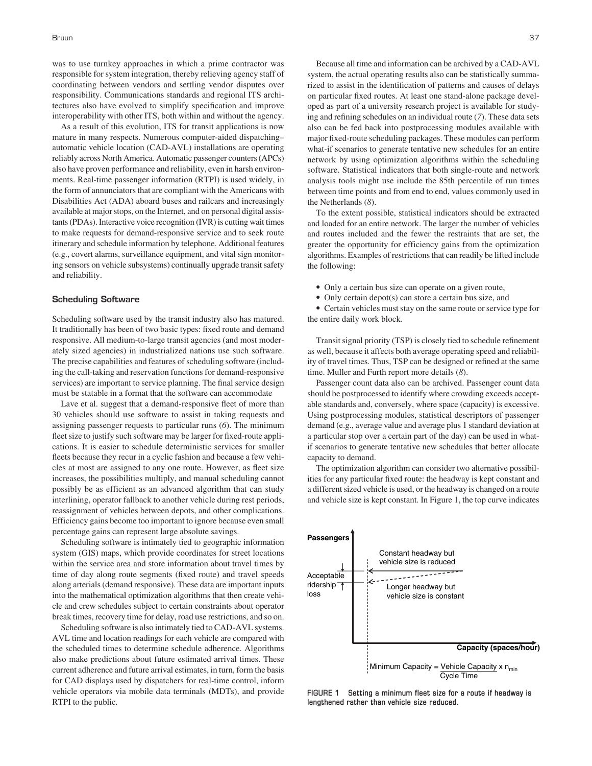was to use turnkey approaches in which a prime contractor was responsible for system integration, thereby relieving agency staff of coordinating between vendors and settling vendor disputes over responsibility. Communications standards and regional ITS architectures also have evolved to simplify specification and improve interoperability with other ITS, both within and without the agency.

As a result of this evolution, ITS for transit applications is now mature in many respects. Numerous computer-aided dispatching– automatic vehicle location (CAD-AVL) installations are operating reliably across North America. Automatic passenger counters (APCs) also have proven performance and reliability, even in harsh environments. Real-time passenger information (RTPI) is used widely, in the form of annunciators that are compliant with the Americans with Disabilities Act (ADA) aboard buses and railcars and increasingly available at major stops, on the Internet, and on personal digital assistants (PDAs). Interactive voice recognition (IVR) is cutting wait times to make requests for demand-responsive service and to seek route itinerary and schedule information by telephone. Additional features (e.g., covert alarms, surveillance equipment, and vital sign monitoring sensors on vehicle subsystems) continually upgrade transit safety and reliability.

#### **Scheduling Software**

Scheduling software used by the transit industry also has matured. It traditionally has been of two basic types: fixed route and demand responsive. All medium-to-large transit agencies (and most moderately sized agencies) in industrialized nations use such software. The precise capabilities and features of scheduling software (including the call-taking and reservation functions for demand-responsive services) are important to service planning. The final service design must be statable in a format that the software can accommodate

Lave et al. suggest that a demand-responsive fleet of more than 30 vehicles should use software to assist in taking requests and assigning passenger requests to particular runs (*6*). The minimum fleet size to justify such software may be larger for fixed-route applications. It is easier to schedule deterministic services for smaller fleets because they recur in a cyclic fashion and because a few vehicles at most are assigned to any one route. However, as fleet size increases, the possibilities multiply, and manual scheduling cannot possibly be as efficient as an advanced algorithm that can study interlining, operator fallback to another vehicle during rest periods, reassignment of vehicles between depots, and other complications. Efficiency gains become too important to ignore because even small percentage gains can represent large absolute savings.

Scheduling software is intimately tied to geographic information system (GIS) maps, which provide coordinates for street locations within the service area and store information about travel times by time of day along route segments (fixed route) and travel speeds along arterials (demand responsive). These data are important inputs into the mathematical optimization algorithms that then create vehicle and crew schedules subject to certain constraints about operator break times, recovery time for delay, road use restrictions, and so on.

Scheduling software is also intimately tied to CAD-AVL systems. AVL time and location readings for each vehicle are compared with the scheduled times to determine schedule adherence. Algorithms also make predictions about future estimated arrival times. These current adherence and future arrival estimates, in turn, form the basis for CAD displays used by dispatchers for real-time control, inform vehicle operators via mobile data terminals (MDTs), and provide RTPI to the public.

Because all time and information can be archived by a CAD-AVL system, the actual operating results also can be statistically summarized to assist in the identification of patterns and causes of delays on particular fixed routes. At least one stand-alone package developed as part of a university research project is available for studying and refining schedules on an individual route (*7*). These data sets also can be fed back into postprocessing modules available with major fixed-route scheduling packages. These modules can perform what-if scenarios to generate tentative new schedules for an entire network by using optimization algorithms within the scheduling software. Statistical indicators that both single-route and network analysis tools might use include the 85th percentile of run times between time points and from end to end, values commonly used in the Netherlands (*8*).

To the extent possible, statistical indicators should be extracted and loaded for an entire network. The larger the number of vehicles and routes included and the fewer the restraints that are set, the greater the opportunity for efficiency gains from the optimization algorithms. Examples of restrictions that can readily be lifted include the following:

- Only a certain bus size can operate on a given route,
- Only certain depot(s) can store a certain bus size, and

• Certain vehicles must stay on the same route or service type for the entire daily work block.

Transit signal priority (TSP) is closely tied to schedule refinement as well, because it affects both average operating speed and reliability of travel times. Thus, TSP can be designed or refined at the same time. Muller and Furth report more details (*8*).

Passenger count data also can be archived. Passenger count data should be postprocessed to identify where crowding exceeds acceptable standards and, conversely, where space (capacity) is excessive. Using postprocessing modules, statistical descriptors of passenger demand (e.g., average value and average plus 1 standard deviation at a particular stop over a certain part of the day) can be used in whatif scenarios to generate tentative new schedules that better allocate capacity to demand.

The optimization algorithm can consider two alternative possibilities for any particular fixed route: the headway is kept constant and a different sized vehicle is used, or the headway is changed on a route and vehicle size is kept constant. In Figure 1, the top curve indicates



**FIGURE 1 Setting a minimum fleet size for a route if headway is lengthened rather than vehicle size reduced.**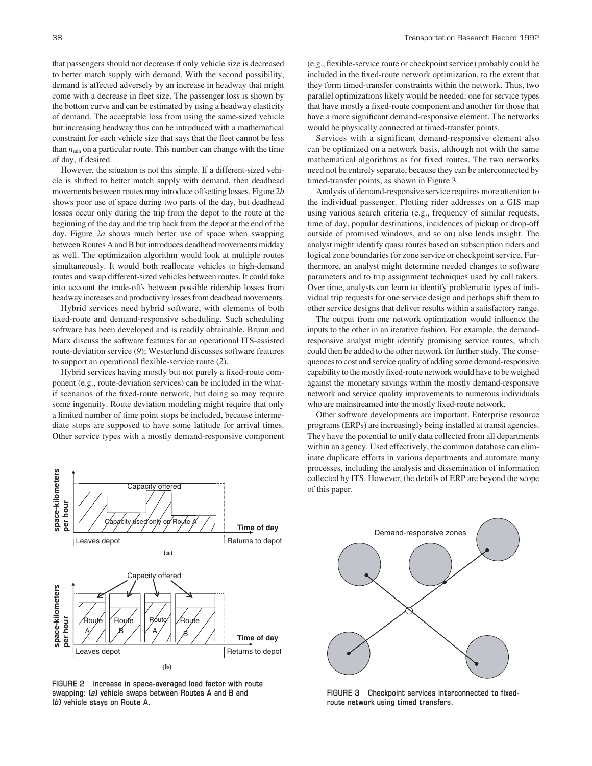of day, if desired. However, the situation is not this simple. If a different-sized vehicle is shifted to better match supply with demand, then deadhead movements between routes may introduce offsetting losses. Figure 2*b* shows poor use of space during two parts of the day, but deadhead losses occur only during the trip from the depot to the route at the beginning of the day and the trip back from the depot at the end of the day. Figure 2*a* shows much better use of space when swapping between Routes A and B but introduces deadhead movements midday as well. The optimization algorithm would look at multiple routes simultaneously. It would both reallocate vehicles to high-demand routes and swap different-sized vehicles between routes. It could take into account the trade-offs between possible ridership losses from headway increases and productivity losses from deadhead movements.

Hybrid services need hybrid software, with elements of both fixed-route and demand-responsive scheduling. Such scheduling software has been developed and is readily obtainable. Bruun and Marx discuss the software features for an operational ITS-assisted route-deviation service (*9*); Westerlund discusses software features to support an operational flexible-service route (*2*).

Hybrid services having mostly but not purely a fixed-route component (e.g., route-deviation services) can be included in the whatif scenarios of the fixed-route network, but doing so may require some ingenuity. Route deviation modeling might require that only a limited number of time point stops be included, because intermediate stops are supposed to have some latitude for arrival times. Other service types with a mostly demand-responsive component



**FIGURE 2 Increase in space-averaged load factor with route swapping: (***a***) vehicle swaps between Routes A and B and (***b***) vehicle stays on Route A.**

(e.g., flexible-service route or checkpoint service) probably could be included in the fixed-route network optimization, to the extent that they form timed-transfer constraints within the network. Thus, two parallel optimizations likely would be needed: one for service types that have mostly a fixed-route component and another for those that have a more significant demand-responsive element. The networks would be physically connected at timed-transfer points.

Services with a significant demand-responsive element also can be optimized on a network basis, although not with the same mathematical algorithms as for fixed routes. The two networks need not be entirely separate, because they can be interconnected by timed-transfer points, as shown in Figure 3.

Analysis of demand-responsive service requires more attention to the individual passenger. Plotting rider addresses on a GIS map using various search criteria (e.g., frequency of similar requests, time of day, popular destinations, incidences of pickup or drop-off outside of promised windows, and so on) also lends insight. The analyst might identify quasi routes based on subscription riders and logical zone boundaries for zone service or checkpoint service. Furthermore, an analyst might determine needed changes to software parameters and to trip assignment techniques used by call takers. Over time, analysts can learn to identify problematic types of individual trip requests for one service design and perhaps shift them to other service designs that deliver results within a satisfactory range.

The output from one network optimization would influence the inputs to the other in an iterative fashion. For example, the demandresponsive analyst might identify promising service routes, which could then be added to the other network for further study. The consequences to cost and service quality of adding some demand-responsive capability to the mostly fixed-route network would have to be weighed against the monetary savings within the mostly demand-responsive network and service quality improvements to numerous individuals who are mainstreamed into the mostly fixed-route network.

Other software developments are important. Enterprise resource programs (ERPs) are increasingly being installed at transit agencies. They have the potential to unify data collected from all departments within an agency. Used effectively, the common database can eliminate duplicate efforts in various departments and automate many processes, including the analysis and dissemination of information collected by ITS. However, the details of ERP are beyond the scope of this paper.



**FIGURE 3 Checkpoint services interconnected to fixedroute network using timed transfers.**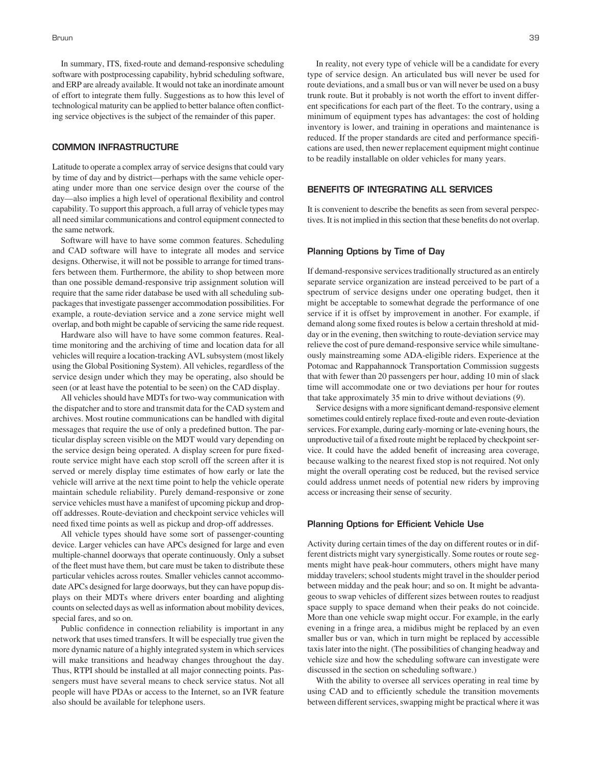In summary, ITS, fixed-route and demand-responsive scheduling software with postprocessing capability, hybrid scheduling software, and ERP are already available. It would not take an inordinate amount of effort to integrate them fully. Suggestions as to how this level of technological maturity can be applied to better balance often conflicting service objectives is the subject of the remainder of this paper.

## **COMMON INFRASTRUCTURE**

Latitude to operate a complex array of service designs that could vary by time of day and by district—perhaps with the same vehicle operating under more than one service design over the course of the day—also implies a high level of operational flexibility and control capability. To support this approach, a full array of vehicle types may all need similar communications and control equipment connected to the same network.

Software will have to have some common features. Scheduling and CAD software will have to integrate all modes and service designs. Otherwise, it will not be possible to arrange for timed transfers between them. Furthermore, the ability to shop between more than one possible demand-responsive trip assignment solution will require that the same rider database be used with all scheduling subpackages that investigate passenger accommodation possibilities. For example, a route-deviation service and a zone service might well overlap, and both might be capable of servicing the same ride request.

Hardware also will have to have some common features. Realtime monitoring and the archiving of time and location data for all vehicles will require a location-tracking AVL subsystem (most likely using the Global Positioning System). All vehicles, regardless of the service design under which they may be operating, also should be seen (or at least have the potential to be seen) on the CAD display.

All vehicles should have MDTs for two-way communication with the dispatcher and to store and transmit data for the CAD system and archives. Most routine communications can be handled with digital messages that require the use of only a predefined button. The particular display screen visible on the MDT would vary depending on the service design being operated. A display screen for pure fixedroute service might have each stop scroll off the screen after it is served or merely display time estimates of how early or late the vehicle will arrive at the next time point to help the vehicle operate maintain schedule reliability. Purely demand-responsive or zone service vehicles must have a manifest of upcoming pickup and dropoff addresses. Route-deviation and checkpoint service vehicles will need fixed time points as well as pickup and drop-off addresses.

All vehicle types should have some sort of passenger-counting device. Larger vehicles can have APCs designed for large and even multiple-channel doorways that operate continuously. Only a subset of the fleet must have them, but care must be taken to distribute these particular vehicles across routes. Smaller vehicles cannot accommodate APCs designed for large doorways, but they can have popup displays on their MDTs where drivers enter boarding and alighting counts on selected days as well as information about mobility devices, special fares, and so on.

Public confidence in connection reliability is important in any network that uses timed transfers. It will be especially true given the more dynamic nature of a highly integrated system in which services will make transitions and headway changes throughout the day. Thus, RTPI should be installed at all major connecting points. Passengers must have several means to check service status. Not all people will have PDAs or access to the Internet, so an IVR feature also should be available for telephone users.

In reality, not every type of vehicle will be a candidate for every type of service design. An articulated bus will never be used for route deviations, and a small bus or van will never be used on a busy trunk route. But it probably is not worth the effort to invent different specifications for each part of the fleet. To the contrary, using a minimum of equipment types has advantages: the cost of holding inventory is lower, and training in operations and maintenance is reduced. If the proper standards are cited and performance specifications are used, then newer replacement equipment might continue to be readily installable on older vehicles for many years.

## **BENEFITS OF INTEGRATING ALL SERVICES**

It is convenient to describe the benefits as seen from several perspectives. It is not implied in this section that these benefits do not overlap.

#### **Planning Options by Time of Day**

If demand-responsive services traditionally structured as an entirely separate service organization are instead perceived to be part of a spectrum of service designs under one operating budget, then it might be acceptable to somewhat degrade the performance of one service if it is offset by improvement in another. For example, if demand along some fixed routes is below a certain threshold at midday or in the evening, then switching to route-deviation service may relieve the cost of pure demand-responsive service while simultaneously mainstreaming some ADA-eligible riders. Experience at the Potomac and Rappahannock Transportation Commission suggests that with fewer than 20 passengers per hour, adding 10 min of slack time will accommodate one or two deviations per hour for routes that take approximately 35 min to drive without deviations (*9*).

Service designs with a more significant demand-responsive element sometimes could entirely replace fixed-route and even route-deviation services. For example, during early-morning or late-evening hours, the unproductive tail of a fixed route might be replaced by checkpoint service. It could have the added benefit of increasing area coverage, because walking to the nearest fixed stop is not required. Not only might the overall operating cost be reduced, but the revised service could address unmet needs of potential new riders by improving access or increasing their sense of security.

# **Planning Options for Efficient Vehicle Use**

Activity during certain times of the day on different routes or in different districts might vary synergistically. Some routes or route segments might have peak-hour commuters, others might have many midday travelers; school students might travel in the shoulder period between midday and the peak hour; and so on. It might be advantageous to swap vehicles of different sizes between routes to readjust space supply to space demand when their peaks do not coincide. More than one vehicle swap might occur. For example, in the early evening in a fringe area, a midibus might be replaced by an even smaller bus or van, which in turn might be replaced by accessible taxis later into the night. (The possibilities of changing headway and vehicle size and how the scheduling software can investigate were discussed in the section on scheduling software.)

With the ability to oversee all services operating in real time by using CAD and to efficiently schedule the transition movements between different services, swapping might be practical where it was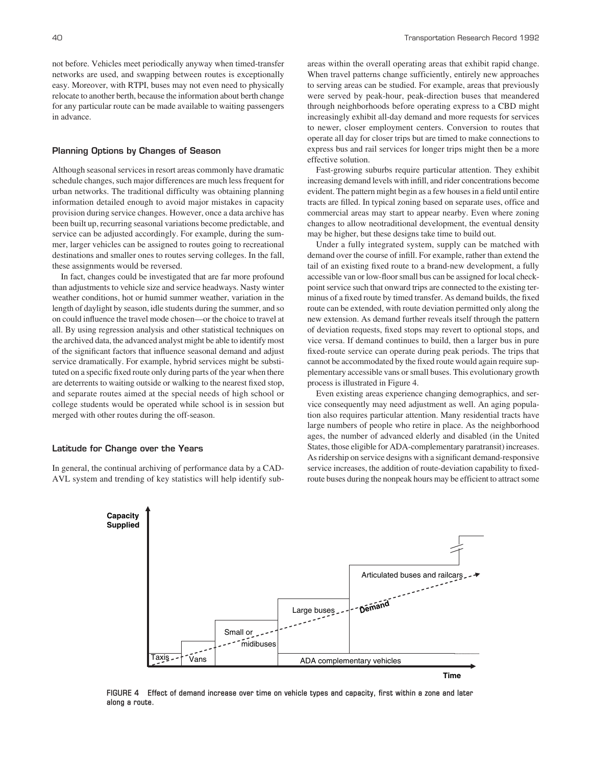not before. Vehicles meet periodically anyway when timed-transfer networks are used, and swapping between routes is exceptionally easy. Moreover, with RTPI, buses may not even need to physically relocate to another berth, because the information about berth change for any particular route can be made available to waiting passengers in advance.

#### **Planning Options by Changes of Season**

Although seasonal services in resort areas commonly have dramatic schedule changes, such major differences are much less frequent for urban networks. The traditional difficulty was obtaining planning information detailed enough to avoid major mistakes in capacity provision during service changes. However, once a data archive has been built up, recurring seasonal variations become predictable, and service can be adjusted accordingly. For example, during the summer, larger vehicles can be assigned to routes going to recreational destinations and smaller ones to routes serving colleges. In the fall, these assignments would be reversed.

In fact, changes could be investigated that are far more profound than adjustments to vehicle size and service headways. Nasty winter weather conditions, hot or humid summer weather, variation in the length of daylight by season, idle students during the summer, and so on could influence the travel mode chosen—or the choice to travel at all. By using regression analysis and other statistical techniques on the archived data, the advanced analyst might be able to identify most of the significant factors that influence seasonal demand and adjust service dramatically. For example, hybrid services might be substituted on a specific fixed route only during parts of the year when there are deterrents to waiting outside or walking to the nearest fixed stop, and separate routes aimed at the special needs of high school or college students would be operated while school is in session but merged with other routes during the off-season.

#### **Latitude for Change over the Years**

In general, the continual archiving of performance data by a CAD-AVL system and trending of key statistics will help identify sub-

areas within the overall operating areas that exhibit rapid change. When travel patterns change sufficiently, entirely new approaches to serving areas can be studied. For example, areas that previously were served by peak-hour, peak-direction buses that meandered through neighborhoods before operating express to a CBD might increasingly exhibit all-day demand and more requests for services to newer, closer employment centers. Conversion to routes that operate all day for closer trips but are timed to make connections to express bus and rail services for longer trips might then be a more effective solution.

Fast-growing suburbs require particular attention. They exhibit increasing demand levels with infill, and rider concentrations become evident. The pattern might begin as a few houses in a field until entire tracts are filled. In typical zoning based on separate uses, office and commercial areas may start to appear nearby. Even where zoning changes to allow neotraditional development, the eventual density may be higher, but these designs take time to build out.

Under a fully integrated system, supply can be matched with demand over the course of infill. For example, rather than extend the tail of an existing fixed route to a brand-new development, a fully accessible van or low-floor small bus can be assigned for local checkpoint service such that onward trips are connected to the existing terminus of a fixed route by timed transfer. As demand builds, the fixed route can be extended, with route deviation permitted only along the new extension. As demand further reveals itself through the pattern of deviation requests, fixed stops may revert to optional stops, and vice versa. If demand continues to build, then a larger bus in pure fixed-route service can operate during peak periods. The trips that cannot be accommodated by the fixed route would again require supplementary accessible vans or small buses. This evolutionary growth process is illustrated in Figure 4.

Even existing areas experience changing demographics, and service consequently may need adjustment as well. An aging population also requires particular attention. Many residential tracts have large numbers of people who retire in place. As the neighborhood ages, the number of advanced elderly and disabled (in the United States, those eligible for ADA-complementary paratransit) increases. As ridership on service designs with a significant demand-responsive service increases, the addition of route-deviation capability to fixedroute buses during the nonpeak hours may be efficient to attract some



**FIGURE 4 Effect of demand increase over time on vehicle types and capacity, first within a zone and later along a route.**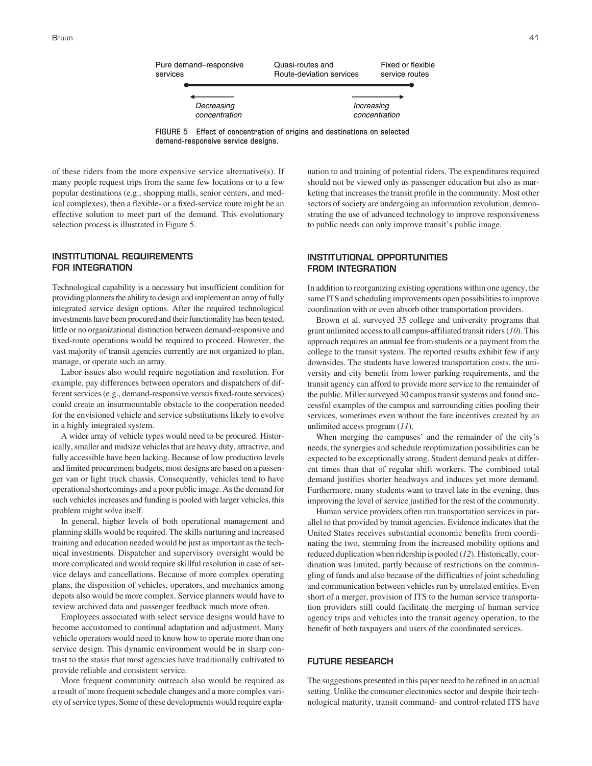

**FIGURE 5 Effect of concentration of origins and destinations on selected demand-responsive service designs.**

of these riders from the more expensive service alternative(s). If many people request trips from the same few locations or to a few popular destinations (e.g., shopping malls, senior centers, and medical complexes), then a flexible- or a fixed-service route might be an effective solution to meet part of the demand. This evolutionary selection process is illustrated in Figure 5.

# **INSTITUTIONAL REQUIREMENTS FOR INTEGRATION**

Technological capability is a necessary but insufficient condition for providing planners the ability to design and implement an array of fully integrated service design options. After the required technological investments have been procured and their functionality has been tested, little or no organizational distinction between demand-responsive and fixed-route operations would be required to proceed. However, the vast majority of transit agencies currently are not organized to plan, manage, or operate such an array.

Labor issues also would require negotiation and resolution. For example, pay differences between operators and dispatchers of different services (e.g., demand-responsive versus fixed-route services) could create an insurmountable obstacle to the cooperation needed for the envisioned vehicle and service substitutions likely to evolve in a highly integrated system.

A wider array of vehicle types would need to be procured. Historically, smaller and midsize vehicles that are heavy duty, attractive, and fully accessible have been lacking. Because of low production levels and limited procurement budgets, most designs are based on a passenger van or light truck chassis. Consequently, vehicles tend to have operational shortcomings and a poor public image. As the demand for such vehicles increases and funding is pooled with larger vehicles, this problem might solve itself.

In general, higher levels of both operational management and planning skills would be required. The skills nurturing and increased training and education needed would be just as important as the technical investments. Dispatcher and supervisory oversight would be more complicated and would require skillful resolution in case of service delays and cancellations. Because of more complex operating plans, the disposition of vehicles, operators, and mechanics among depots also would be more complex. Service planners would have to review archived data and passenger feedback much more often.

Employees associated with select service designs would have to become accustomed to continual adaptation and adjustment. Many vehicle operators would need to know how to operate more than one service design. This dynamic environment would be in sharp contrast to the stasis that most agencies have traditionally cultivated to provide reliable and consistent service.

More frequent community outreach also would be required as a result of more frequent schedule changes and a more complex variety of service types. Some of these developments would require explanation to and training of potential riders. The expenditures required should not be viewed only as passenger education but also as marketing that increases the transit profile in the community. Most other sectors of society are undergoing an information revolution; demonstrating the use of advanced technology to improve responsiveness to public needs can only improve transit's public image.

# **INSTITUTIONAL OPPORTUNITIES FROM INTEGRATION**

In addition to reorganizing existing operations within one agency, the same ITS and scheduling improvements open possibilities to improve coordination with or even absorb other transportation providers.

Brown et al. surveyed 35 college and university programs that grant unlimited access to all campus-affiliated transit riders (*10*). This approach requires an annual fee from students or a payment from the college to the transit system. The reported results exhibit few if any downsides. The students have lowered transportation costs, the university and city benefit from lower parking requirements, and the transit agency can afford to provide more service to the remainder of the public. Miller surveyed 30 campus transit systems and found successful examples of the campus and surrounding cities pooling their services, sometimes even without the fare incentives created by an unlimited access program (*11*).

When merging the campuses' and the remainder of the city's needs, the synergies and schedule reoptimization possibilities can be expected to be exceptionally strong. Student demand peaks at different times than that of regular shift workers. The combined total demand justifies shorter headways and induces yet more demand. Furthermore, many students want to travel late in the evening, thus improving the level of service justified for the rest of the community.

Human service providers often run transportation services in parallel to that provided by transit agencies. Evidence indicates that the United States receives substantial economic benefits from coordinating the two, stemming from the increased mobility options and reduced duplication when ridership is pooled (*12*). Historically, coordination was limited, partly because of restrictions on the commingling of funds and also because of the difficulties of joint scheduling and communication between vehicles run by unrelated entities. Even short of a merger, provision of ITS to the human service transportation providers still could facilitate the merging of human service agency trips and vehicles into the transit agency operation, to the benefit of both taxpayers and users of the coordinated services.

## **FUTURE RESEARCH**

The suggestions presented in this paper need to be refined in an actual setting. Unlike the consumer electronics sector and despite their technological maturity, transit command- and control-related ITS have